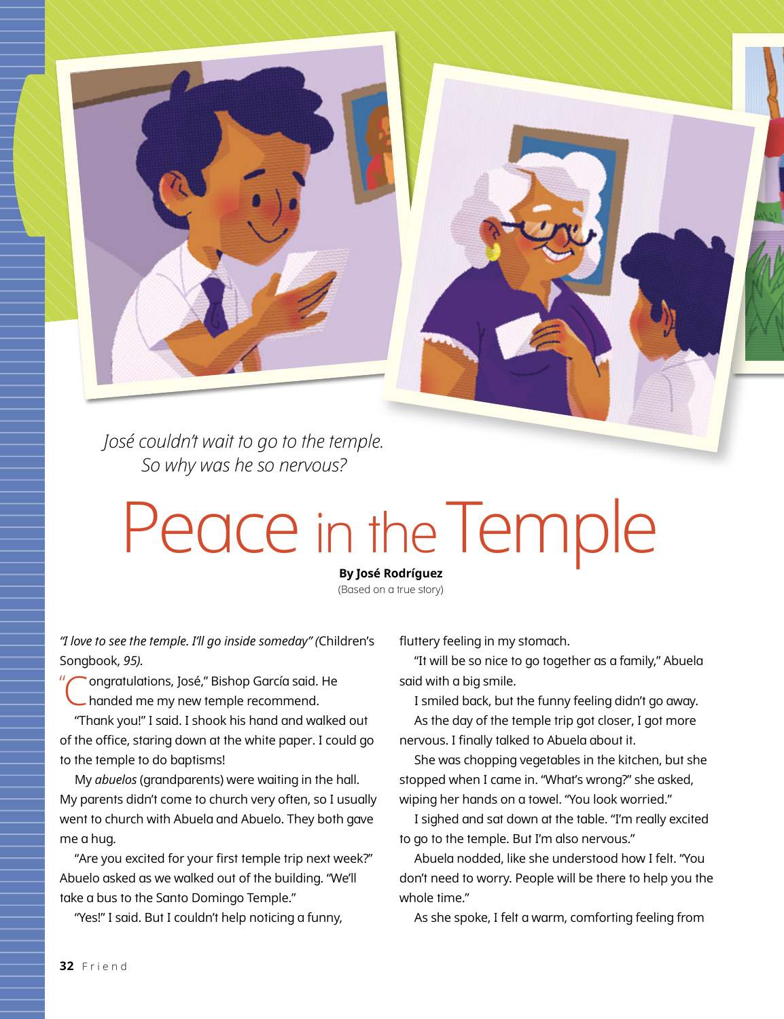*José couldn't wait to go to the temple. So why was he so nervous?*

## Peace in the Temple

**By José Rodríguez** (Based on a true story)

*"I love to see the temple. I'll go inside someday" (*Children's Songbook, *95).*

" ongratulations, José," Bishop García said. He handed me my new temple recommend.

"Thank you!" I said. I shook his hand and walked out of the office, staring down at the white paper. I could go to the temple to do baptisms!

My *abuelos* (grandparents) were waiting in the hall. My parents didn't come to church very often, so I usually went to church with Abuela and Abuelo. They both gave me a hug.

"Are you excited for your first temple trip next week?" Abuelo asked as we walked out of the building. "We'll take a bus to the Santo Domingo Temple."

"Yes!" I said. But I couldn't help noticing a funny,

fluttery feeling in my stomach.

"It will be so nice to go together as a family," Abuela said with a big smile.

I smiled back, but the funny feeling didn't go away. As the day of the temple trip got closer, I got more nervous. I finally talked to Abuela about it.

She was chopping vegetables in the kitchen, but she stopped when I came in. "What's wrong?" she asked, wiping her hands on a towel. "You look worried."

I sighed and sat down at the table. "I'm really excited to go to the temple. But I'm also nervous."

Abuela nodded, like she understood how I felt. "You don't need to worry. People will be there to help you the whole time."

As she spoke, I felt a warm, comforting feeling from